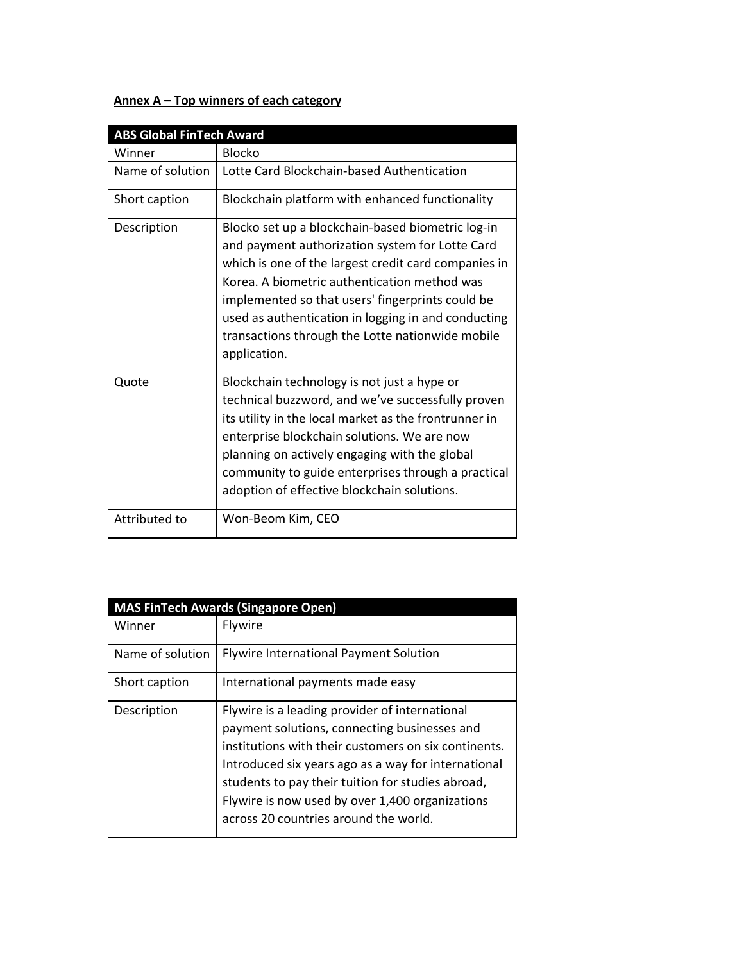## Annex A – Top winners of each category

| <b>ABS Global FinTech Award</b> |                                                                                                                                                                                                                                                                                                                                                                                             |  |
|---------------------------------|---------------------------------------------------------------------------------------------------------------------------------------------------------------------------------------------------------------------------------------------------------------------------------------------------------------------------------------------------------------------------------------------|--|
| Winner                          | <b>Blocko</b>                                                                                                                                                                                                                                                                                                                                                                               |  |
| Name of solution                | Lotte Card Blockchain-based Authentication                                                                                                                                                                                                                                                                                                                                                  |  |
| Short caption                   | Blockchain platform with enhanced functionality                                                                                                                                                                                                                                                                                                                                             |  |
| Description                     | Blocko set up a blockchain-based biometric log-in<br>and payment authorization system for Lotte Card<br>which is one of the largest credit card companies in<br>Korea. A biometric authentication method was<br>implemented so that users' fingerprints could be<br>used as authentication in logging in and conducting<br>transactions through the Lotte nationwide mobile<br>application. |  |
| Quote                           | Blockchain technology is not just a hype or<br>technical buzzword, and we've successfully proven<br>its utility in the local market as the frontrunner in<br>enterprise blockchain solutions. We are now<br>planning on actively engaging with the global<br>community to guide enterprises through a practical<br>adoption of effective blockchain solutions.                              |  |
| Attributed to                   | Won-Beom Kim, CEO                                                                                                                                                                                                                                                                                                                                                                           |  |

| <b>MAS FinTech Awards (Singapore Open)</b> |                                                                                                                                                                                                                                                                                                                                                                |  |
|--------------------------------------------|----------------------------------------------------------------------------------------------------------------------------------------------------------------------------------------------------------------------------------------------------------------------------------------------------------------------------------------------------------------|--|
| Winner                                     | <b>Flywire</b>                                                                                                                                                                                                                                                                                                                                                 |  |
| Name of solution                           | <b>Flywire International Payment Solution</b>                                                                                                                                                                                                                                                                                                                  |  |
| Short caption                              | International payments made easy                                                                                                                                                                                                                                                                                                                               |  |
| Description                                | Flywire is a leading provider of international<br>payment solutions, connecting businesses and<br>institutions with their customers on six continents.<br>Introduced six years ago as a way for international<br>students to pay their tuition for studies abroad,<br>Flywire is now used by over 1,400 organizations<br>across 20 countries around the world. |  |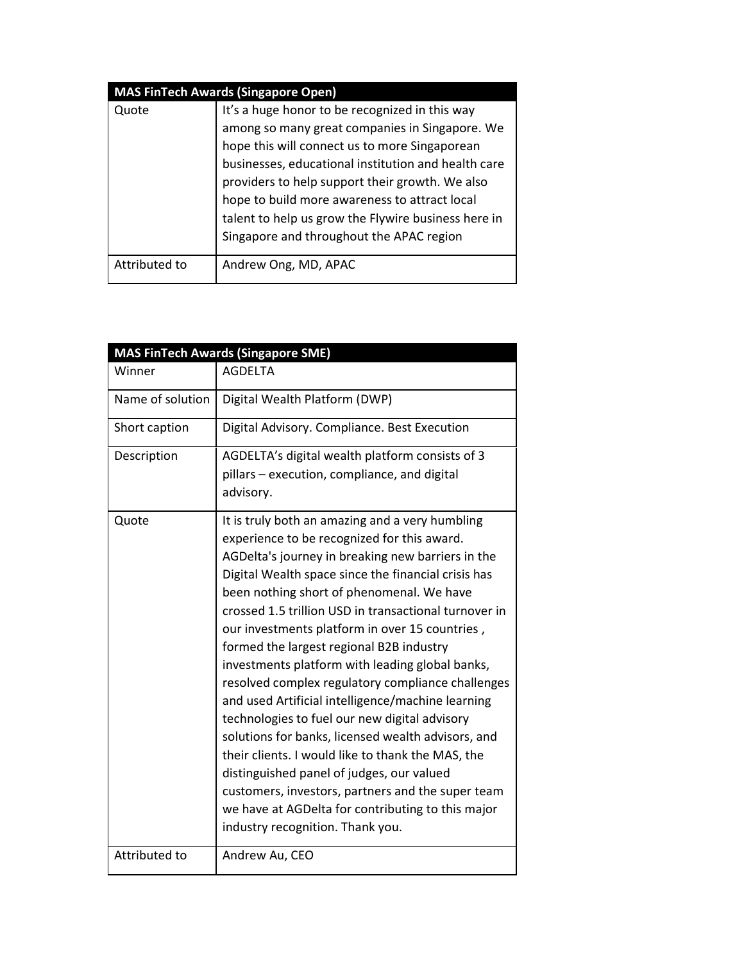| <b>MAS FinTech Awards (Singapore Open)</b> |                                                     |  |
|--------------------------------------------|-----------------------------------------------------|--|
| Quote                                      | It's a huge honor to be recognized in this way      |  |
|                                            | among so many great companies in Singapore. We      |  |
|                                            | hope this will connect us to more Singaporean       |  |
|                                            | businesses, educational institution and health care |  |
|                                            | providers to help support their growth. We also     |  |
|                                            | hope to build more awareness to attract local       |  |
|                                            | talent to help us grow the Flywire business here in |  |
|                                            | Singapore and throughout the APAC region            |  |
|                                            |                                                     |  |
| Attributed to                              | Andrew Ong, MD, APAC                                |  |

|                  | <b>MAS FinTech Awards (Singapore SME)</b>                                                                                                                                                                                                                                                                                                                                                                                                                                                                                                                                                                                                                                                                                                                                                                                                                                                                                          |  |  |
|------------------|------------------------------------------------------------------------------------------------------------------------------------------------------------------------------------------------------------------------------------------------------------------------------------------------------------------------------------------------------------------------------------------------------------------------------------------------------------------------------------------------------------------------------------------------------------------------------------------------------------------------------------------------------------------------------------------------------------------------------------------------------------------------------------------------------------------------------------------------------------------------------------------------------------------------------------|--|--|
| Winner           | <b>AGDFLTA</b>                                                                                                                                                                                                                                                                                                                                                                                                                                                                                                                                                                                                                                                                                                                                                                                                                                                                                                                     |  |  |
| Name of solution | Digital Wealth Platform (DWP)                                                                                                                                                                                                                                                                                                                                                                                                                                                                                                                                                                                                                                                                                                                                                                                                                                                                                                      |  |  |
| Short caption    | Digital Advisory. Compliance. Best Execution                                                                                                                                                                                                                                                                                                                                                                                                                                                                                                                                                                                                                                                                                                                                                                                                                                                                                       |  |  |
| Description      | AGDELTA's digital wealth platform consists of 3<br>pillars – execution, compliance, and digital<br>advisory.                                                                                                                                                                                                                                                                                                                                                                                                                                                                                                                                                                                                                                                                                                                                                                                                                       |  |  |
| Quote            | It is truly both an amazing and a very humbling<br>experience to be recognized for this award.<br>AGDelta's journey in breaking new barriers in the<br>Digital Wealth space since the financial crisis has<br>been nothing short of phenomenal. We have<br>crossed 1.5 trillion USD in transactional turnover in<br>our investments platform in over 15 countries,<br>formed the largest regional B2B industry<br>investments platform with leading global banks,<br>resolved complex regulatory compliance challenges<br>and used Artificial intelligence/machine learning<br>technologies to fuel our new digital advisory<br>solutions for banks, licensed wealth advisors, and<br>their clients. I would like to thank the MAS, the<br>distinguished panel of judges, our valued<br>customers, investors, partners and the super team<br>we have at AGDelta for contributing to this major<br>industry recognition. Thank you. |  |  |
| Attributed to    | Andrew Au, CEO                                                                                                                                                                                                                                                                                                                                                                                                                                                                                                                                                                                                                                                                                                                                                                                                                                                                                                                     |  |  |